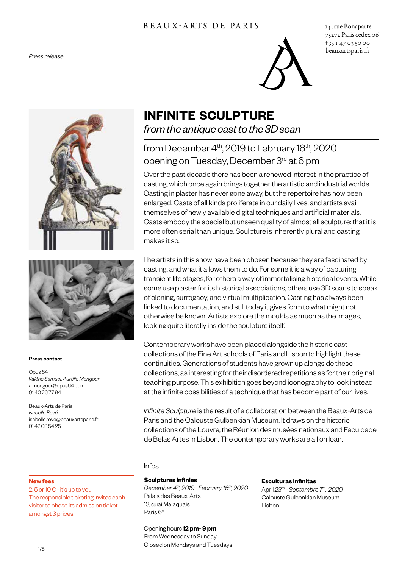# B E A U X - A R T S D E P A R I S 14, rue Bonaparte



75272 Paris cedex 06 +33 1 47 03 50 00 beauxartsparis.fr





#### **Press contact**

Opus 64 *Valérie Samuel, Aurélie Mongour* a.mongour@opus64.com 01 40 26 77 94

Beaux-Arts de Paris *Isabelle Reyé* isabelle.reye@beauxartsparis.fr 01 47 03 54 25

#### **New fees**

2,  $5$  or  $10 \epsilon$  - it's up to you! The responsible ticketing invites each visitor to chose its admission ticket amongst 3 prices.

# **INFINITE SCULPTURE**

# *from the antique cast to the 3D scan*

# from December  $4<sup>th</sup>$ , 2019 to February 16<sup>th</sup>, 2020 opening on Tuesday, December 3rd at 6 pm

Over the past decade there has been a renewed interest in the practice of casting, which once again brings together the artistic and industrial worlds. Casting in plaster has never gone away, but the repertoire has now been enlarged. Casts of all kinds proliferate in our daily lives, and artists avail themselves of newly available digital techniques and artificial materials. Casts embody the special but unseen quality of almost all sculpture: that it is more often serial than unique. Sculpture is inherently plural and casting makes it so.

The artists in this show have been chosen because they are fascinated by casting, and what it allows them to do. For some it is a way of capturing transient life stages; for others a way of immortalising historical events. While some use plaster for its historical associations, others use 3D scans to speak of cloning, surrogacy, and virtual multiplication. Casting has always been linked to documentation, and still today it gives form to what might not otherwise be known. Artists explore the moulds as much as the images, looking quite literally inside the sculpture itself.

Contemporary works have been placed alongside the historic cast collections of the Fine Art schools of Paris and Lisbon to highlight these continuities. Generations of students have grown up alongside these collections, as interesting for their disordered repetitions as for their original teaching purpose. This exhibition goes beyond iconography to look instead at the infinite possibilities of a technique that has become part of our lives.

*Infinite Sculpture* is the result of a collaboration between the Beaux-Arts de Paris and the Calouste Gulbenkian Museum. It draws on the historic collections of the Louvre, the Réunion des musées nationaux and Faculdade de Belas Artes in Lisbon. The contemporary works are all on loan.

#### Infos

#### **Sculptures Infinies**

*December 4th, 2019-February 16th, 2020* Palais des Beaux-Arts 13, quai Malaquais Paris 6<sup>e</sup>

#### Opening hours **12 pm- 9 pm**

From Wednesday to Sunday Closed on Mondays and Tuesdays

#### **Esculturas Infinitas**

April *23rd -Septembre 7th, 2020* Calouste Gulbenkian Museum Lisbon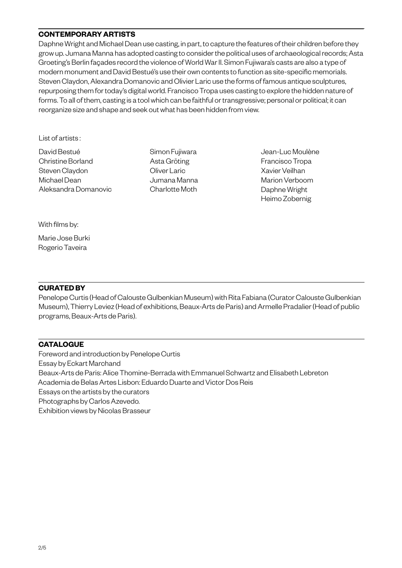## **CONTEMPORARY ARTISTS**

Daphne Wright and Michael Dean use casting, in part, to capture the features of their children before they grow up. Jumana Manna has adopted casting to consider the political uses of archaeological records; Asta Groeting's Berlin façades record the violence of World War II. Simon Fujiwara's casts are also a type of modern monument and David Bestué's use their own contents to function as site-specific memorials. Steven Claydon, Alexandra Domanovic and Olivier Laric use the forms of famous antique sculptures, repurposing them for today's digital world. Francisco Tropa uses casting to explore the hidden nature of forms. To all of them, casting is a tool which can be faithful or transgressive; personal or political; it can reorganize size and shape and seek out what has been hidden from view.

List of artists :

David Bestué Christine Borland Steven Claydon Michael Dean Aleksandra Domanovic Simon Fujiwara Asta Gröting Oliver Laric Jumana Manna Charlotte Moth

Jean-Luc Moulène Francisco Tropa Xavier Veilhan Marion Verboom Daphne Wright Heimo Zobernig

With films by:

Marie Jose Burki Rogerio Taveira

### **CURATED BY**

Penelope Curtis (Head of Calouste Gulbenkian Museum) with Rita Fabiana (Curator Calouste Gulbenkian Museum), Thierry Leviez (Head of exhibitions, Beaux-Arts de Paris) and Armelle Pradalier (Head of public programs, Beaux-Arts de Paris).

### **CATALOGUE**

Foreword and introduction by Penelope Curtis Essay by Eckart Marchand Beaux-Arts de Paris: Alice Thomine-Berrada with Emmanuel Schwartz and Elisabeth Lebreton Academia de Belas Artes Lisbon: Eduardo Duarte and Victor Dos Reis Essays on the artists by the curators Photographs by Carlos Azevedo. Exhibition views by Nicolas Brasseur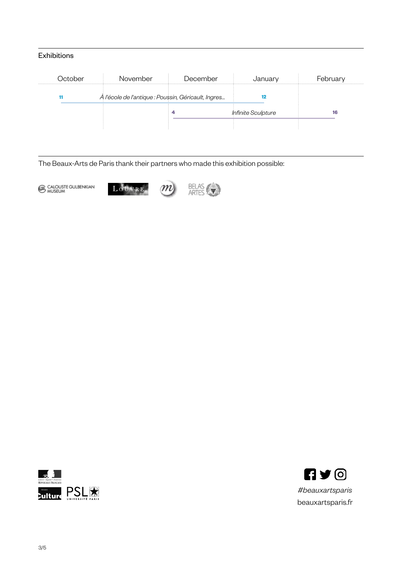# Exhibitions

| October | November                                            | December | January                   | February |
|---------|-----------------------------------------------------|----------|---------------------------|----------|
|         | À l'école de l'antique : Poussin, Géricault, Ingres |          |                           |          |
|         |                                                     |          | <b>Infinite Sculpture</b> | 16       |
|         |                                                     |          |                           |          |

The Beaux-Arts de Paris thank their partners who made this exhibition possible:

CALOUSTE GULBENKIAN







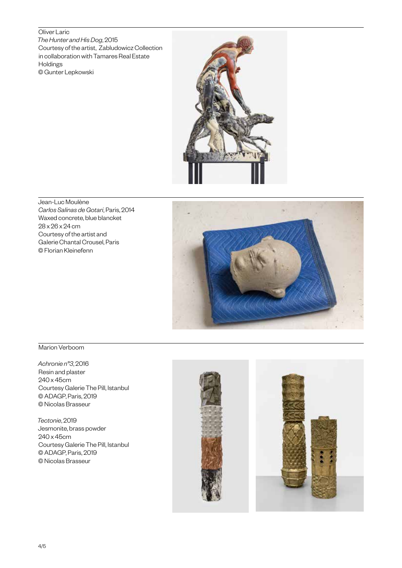#### Oliver Laric

*The Hunter and His Dog*, 2015 Courtesy of the artist, Zabludowicz Collection in collaboration with Tamares Real Estate Holdings © Gunter Lepkowski



Jean-Luc Moulène *Carlos Salinas de Gotari*, Paris, 2014 Waxed concrete, blue blancket 28 x 26 x 24 cm Courtesy of the artist and Galerie Chantal Crousel, Paris © Florian Kleinefenn



#### Marion Verboom

*Achronie n°3*, 2016 Resin and plaster 240 x 45cm Courtesy Galerie The Pill, Istanbul © ADAGP, Paris, 2019 © Nicolas Brasseur

*Tectonie*, 2019 Jesmonite, brass powder 240 x 45cm Courtesy Galerie The Pill, Istanbul © ADAGP, Paris, 2019 © Nicolas Brasseur